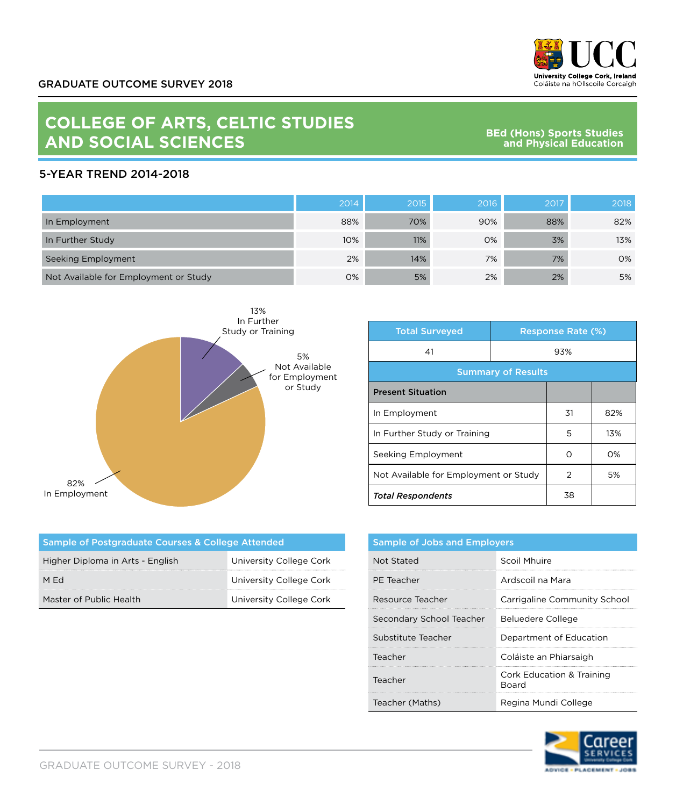

## **COLLEGE OF ARTS, CELTIC STUDIES AND SOCIAL SCIENCES**

**BEd (Hons) Sports Studies and Physical Education**

## 5-YEAR TREND 2014-2018

|                                       | 2014 | 2015 | 2016 | 2017 | 2018 |
|---------------------------------------|------|------|------|------|------|
| In Employment                         | 88%  | 70%  | 90%  | 88%  | 82%  |
| In Further Study                      | 10%  | 11%  | 0%   | 3%   | 13%  |
| Seeking Employment                    | 2%   | 14%  | 7%   | 7%   | 0%   |
| Not Available for Employment or Study | 0%   | 5%   | 2%   | 2%   | 5%   |



| <b>Total Surveyed</b>                 |     | <b>Response Rate (%)</b> |     |
|---------------------------------------|-----|--------------------------|-----|
| 41                                    | 93% |                          |     |
| <b>Summary of Results</b>             |     |                          |     |
| <b>Present Situation</b>              |     |                          |     |
| In Employment                         |     | 31                       | 82% |
| In Further Study or Training          |     | 5                        | 13% |
| Seeking Employment                    |     | ∩                        | O%  |
| Not Available for Employment or Study |     | 2                        | 5%  |
| <b>Total Respondents</b>              |     | 38                       |     |

| Sample of Postgraduate Courses & College Attended |                         |  |  |
|---------------------------------------------------|-------------------------|--|--|
| Higher Diploma in Arts - English                  | University College Cork |  |  |
| M Ed                                              | University College Cork |  |  |
| Master of Public Health                           | University College Cork |  |  |

| <b>Sample of Jobs and Employers</b> |                                                      |  |
|-------------------------------------|------------------------------------------------------|--|
| Not Stated                          | Scoil Mhuire                                         |  |
| PE Teacher                          | Ardscoil na Mara                                     |  |
| Resource Teacher                    | Carrigaline Community School                         |  |
| Secondary School Teacher            | Beluedere College                                    |  |
| Substitute Teacher                  | Department of Education                              |  |
| Teacher                             | Coláiste an Phiarsaigh                               |  |
| Teacher                             | <b>Cork Education &amp; Training</b><br><b>Board</b> |  |
| Teacher (Maths)                     | Regina Mundi College                                 |  |